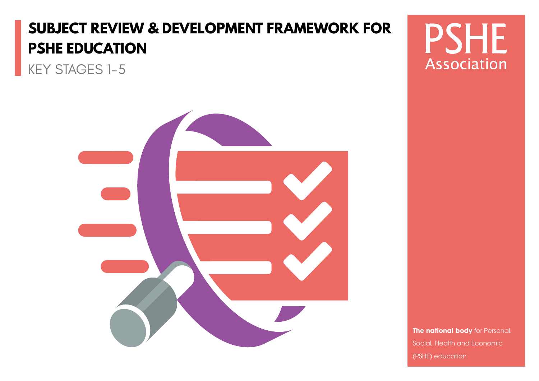# **SUBJECT REVIEW & DEVELOPMENT FRAMEWORK FOR PSHE EDUCATION**

KEY STAGES 1-5



**PSHE** Association

**The national body** for Personal, Social, Health and Economic (PSHE) education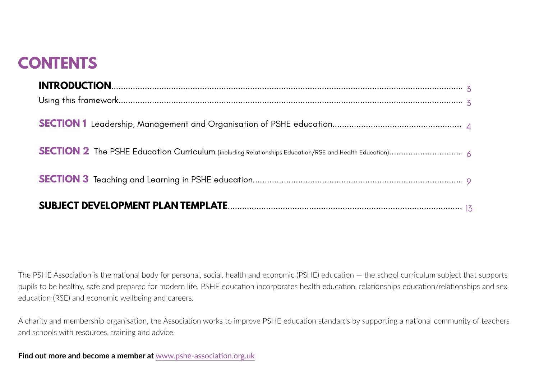## **CONTENTS**

| $\textbf{INTRODUCTION}.\textcolor{red}{}\textcolor{blue}{\textbf{1NTRODUCTION}}\textcolor{red}{}\textcolor{blue}{\textbf{2N\_3}}\textcolor{red}{\textbf{3N\_4}}\textcolor{red}{\textbf{4N\_5}}\textcolor{red}{\textbf{5N\_6}}\textcolor{red}{\textbf{6N\_6}}\textcolor{red}{\textbf{6N\_6}}\textcolor{red}{\textbf{6N\_6}}\textcolor{red}{\textbf{6N\_6}}\textcolor{red}{\textbf{6N\_6}}\textcolor{red}{\textbf{6N\_6}}\textcolor{red}{\textbf{6N\_6}}\textcolor{red}{\textbf{7N\_6}}\textcolor{$ |  |
|---------------------------------------------------------------------------------------------------------------------------------------------------------------------------------------------------------------------------------------------------------------------------------------------------------------------------------------------------------------------------------------------------------------------------------------------------------------------------------------------------|--|

The PSHE Association is the national body for personal, social, health and economic (PSHE) education — the school curriculum subject that supports pupils to be healthy, safe and prepared for modern life. PSHE education incorporates health education, relationships education/relationships and sex education (RSE) and economic wellbeing and careers.

A charity and membership organisation, the Association works to improve PSHE education standards by supporting a national community of teachers and schools with resources, training and advice.

**Find out more and become a member at** www.pshe-association.org.uk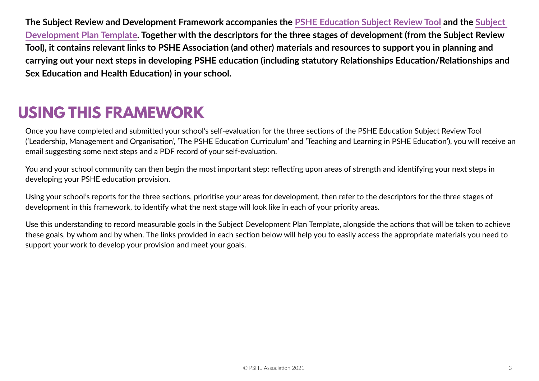<span id="page-2-0"></span>**The Subject Review and Development Framework accompanies the [PSHE Education Subject Review Tool](https://www.pshe-association.org.uk/content/get-your-rshe-together-subject-review-tool) and the [Subject](https://www.pshe-association.org.uk/curriculum-and-resources/resources/subject-development-plan-template-editable-word)  [Development Plan Template](https://www.pshe-association.org.uk/curriculum-and-resources/resources/subject-development-plan-template-editable-word). Together with the descriptors for the three stages of development (from the Subject Review Tool), it contains relevant links to PSHE Association (and other) materials and resources to support you in planning and carrying out your next steps in developing PSHE education (including statutory Relationships Education/Relationships and Sex Education and Health Education) in your school.**

## **USING THIS FRAMEWORK**

Once you have completed and submitted your school's self-evaluation for the three sections of the PSHE Education Subject Review Tool ('Leadership, Management and Organisation', 'The PSHE Education Curriculum' and 'Teaching and Learning in PSHE Education'), you will receive an email suggesting some next steps and a PDF record of your self-evaluation.

You and your school community can then begin the most important step: reflecting upon areas of strength and identifying your next steps in developing your PSHE education provision.

Using your school's reports for the three sections, prioritise your areas for development, then refer to the descriptors for the three stages of development in this framework, to identify what the next stage will look like in each of your priority areas.

Use this understanding to record measurable goals in the Subject Development Plan Template, alongside the actions that will be taken to achieve these goals, by whom and by when. The links provided in each section below will help you to easily access the appropriate materials you need to support your work to develop your provision and meet your goals.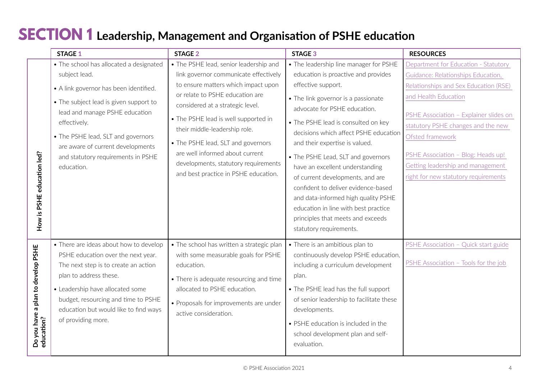#### <span id="page-3-0"></span>**SECTION 1 Leadership, Management and Organisation of PSHE education**

|                                                  | <b>STAGE 1</b>                                                                                                                                                                                                                                                                           | <b>STAGE 2</b>                                                                                                                                                                                                                                                                                        | <b>STAGE 3</b>                                                                                                                                                                                                                                                                                                                                                                                                                                                                           | <b>RESOURCES</b>                                                                                                                                                                                                                            |
|--------------------------------------------------|------------------------------------------------------------------------------------------------------------------------------------------------------------------------------------------------------------------------------------------------------------------------------------------|-------------------------------------------------------------------------------------------------------------------------------------------------------------------------------------------------------------------------------------------------------------------------------------------------------|------------------------------------------------------------------------------------------------------------------------------------------------------------------------------------------------------------------------------------------------------------------------------------------------------------------------------------------------------------------------------------------------------------------------------------------------------------------------------------------|---------------------------------------------------------------------------------------------------------------------------------------------------------------------------------------------------------------------------------------------|
|                                                  | • The school has allocated a designated                                                                                                                                                                                                                                                  | • The PSHE lead, senior leadership and                                                                                                                                                                                                                                                                | • The leadership line manager for PSHE                                                                                                                                                                                                                                                                                                                                                                                                                                                   | Department for Education - Statutory                                                                                                                                                                                                        |
|                                                  | subject lead.                                                                                                                                                                                                                                                                            | link governor communicate effectively                                                                                                                                                                                                                                                                 | education is proactive and provides                                                                                                                                                                                                                                                                                                                                                                                                                                                      | Guidance: Relationships Education,                                                                                                                                                                                                          |
|                                                  | • A link governor has been identified.                                                                                                                                                                                                                                                   | to ensure matters which impact upon                                                                                                                                                                                                                                                                   | effective support.                                                                                                                                                                                                                                                                                                                                                                                                                                                                       | Relationships and Sex Education (RSE)                                                                                                                                                                                                       |
| How is PSHE education led?                       | • The subject lead is given support to<br>lead and manage PSHE education<br>effectively.<br>• The PSHE lead, SLT and governors<br>are aware of current developments<br>and statutory requirements in PSHE<br>education.                                                                  | or relate to PSHE education are<br>considered at a strategic level.<br>• The PSHE lead is well supported in<br>their middle-leadership role.<br>• The PSHE lead, SLT and governors<br>are well informed about current<br>developments, statutory requirements<br>and best practice in PSHE education. | • The link governor is a passionate<br>advocate for PSHE education.<br>• The PSHE lead is consulted on key<br>decisions which affect PSHE education<br>and their expertise is valued.<br>• The PSHE Lead, SLT and governors<br>have an excellent understanding<br>of current developments, and are<br>confident to deliver evidence-based<br>and data-informed high quality PSHE<br>education in line with best practice<br>principles that meets and exceeds<br>statutory requirements. | and Health Education<br>PSHE Association - Explainer slides on<br>statutory PSHE changes and the new<br>Ofsted framework<br>PSHE Association - Blog: Heads up!<br>Getting leadership and management<br>right for new statutory requirements |
| Do you have a plan to develop PSHE<br>education? | • There are ideas about how to develop<br>PSHE education over the next year.<br>The next step is to create an action<br>plan to address these.<br>• Leadership have allocated some<br>budget, resourcing and time to PSHE<br>education but would like to find ways<br>of providing more. | • The school has written a strategic plan<br>with some measurable goals for PSHE<br>education.<br>• There is adequate resourcing and time<br>allocated to PSHE education.<br>• Proposals for improvements are under<br>active consideration.                                                          | • There is an ambitious plan to<br>continuously develop PSHE education,<br>including a curriculum development<br>plan.<br>• The PSHE lead has the full support<br>of senior leadership to facilitate these<br>developments.<br>• PSHE education is included in the<br>school development plan and self-<br>evaluation.                                                                                                                                                                   | PSHE Association - Quick start guide<br>PSHE Association - Tools for the job                                                                                                                                                                |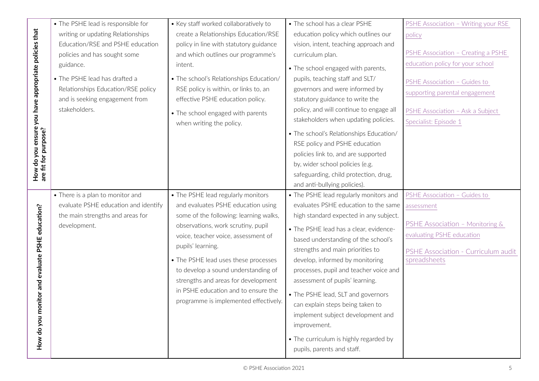|                                                      | • The PSHE lead is responsible for   | • Key staff worked collaboratively to   | • The school has a clear PSHE           | PSHE Association - Writing your RSE |
|------------------------------------------------------|--------------------------------------|-----------------------------------------|-----------------------------------------|-------------------------------------|
|                                                      | writing or updating Relationships    | create a Relationships Education/RSE    | education policy which outlines our     | policy                              |
|                                                      | Education/RSE and PSHE education     | policy in line with statutory guidance  | vision, intent, teaching approach and   |                                     |
|                                                      | policies and has sought some         | and which outlines our programme's      | curriculum plan.                        | PSHE Association - Creating a PSHE  |
| How do you ensure you have appropriate policies that | guidance.                            | intent.                                 | • The school engaged with parents,      | education policy for your school    |
|                                                      | • The PSHE lead has drafted a        | • The school's Relationships Education/ | pupils, teaching staff and SLT/         | PSHE Association - Guides to        |
|                                                      | Relationships Education/RSE policy   | RSE policy is within, or links to, an   | governors and were informed by          | supporting parental engagement      |
|                                                      | and is seeking engagement from       | effective PSHE education policy.        | statutory guidance to write the         |                                     |
|                                                      | stakeholders.                        | • The school engaged with parents       | policy, and will continue to engage all | PSHE Association - Ask a Subject    |
|                                                      |                                      | when writing the policy.                | stakeholders when updating policies.    | Specialist: Episode 1               |
|                                                      |                                      |                                         | • The school's Relationships Education/ |                                     |
| are fit for purpose?                                 |                                      |                                         | RSE policy and PSHE education           |                                     |
|                                                      |                                      |                                         | policies link to, and are supported     |                                     |
|                                                      |                                      |                                         | by, wider school policies (e.g.         |                                     |
|                                                      |                                      |                                         | safeguarding, child protection, drug,   |                                     |
|                                                      |                                      |                                         | and anti-bullying policies).            |                                     |
|                                                      | • There is a plan to monitor and     | • The PSHE lead regularly monitors      | • The PSHE lead regularly monitors and  | PSHE Association - Guides to        |
|                                                      | evaluate PSHE education and identify | and evaluates PSHE education using      | evaluates PSHE education to the same    | assessment                          |
|                                                      | the main strengths and areas for     | some of the following: learning walks,  | high standard expected in any subject.  |                                     |
|                                                      | development.                         | observations, work scrutiny, pupil      | • The PSHE lead has a clear, evidence-  | PSHE Association - Monitoring &     |
|                                                      |                                      | voice, teacher voice, assessment of     | based understanding of the school's     | evaluating PSHE education           |
|                                                      |                                      | pupils' learning.                       | strengths and main priorities to        | PSHE Association - Curriculum audit |
|                                                      |                                      | • The PSHE lead uses these processes    | develop, informed by monitoring         | spreadsheets                        |
|                                                      |                                      | to develop a sound understanding of     | processes, pupil and teacher voice and  |                                     |
|                                                      |                                      | strengths and areas for development     | assessment of pupils' learning.         |                                     |
|                                                      |                                      | in PSHE education and to ensure the     |                                         |                                     |
|                                                      |                                      | programme is implemented effectively.   | • The PSHE lead, SLT and governors      |                                     |
|                                                      |                                      |                                         | can explain steps being taken to        |                                     |
|                                                      |                                      |                                         | implement subject development and       |                                     |
| How do you monitor and evaluate PSHE education?      |                                      |                                         | improvement.                            |                                     |
|                                                      |                                      |                                         | • The curriculum is highly regarded by  |                                     |
|                                                      |                                      |                                         |                                         |                                     |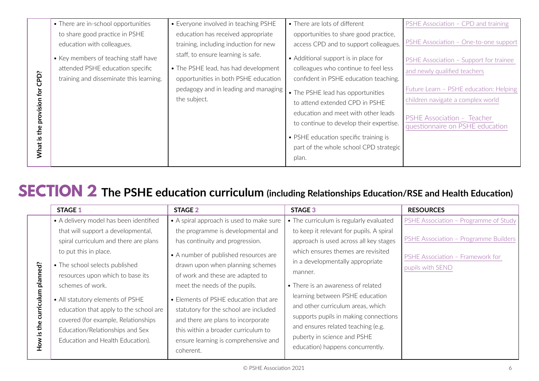<span id="page-5-0"></span>

| PSHE Association - CPD and training                                    |
|------------------------------------------------------------------------|
|                                                                        |
| PSHE Association - One-to-one support                                  |
| PSHE Association - Support for trainee                                 |
|                                                                        |
|                                                                        |
| Future Learn - PSHE education: Helping                                 |
|                                                                        |
|                                                                        |
| questionnaire on PSHE education                                        |
|                                                                        |
|                                                                        |
|                                                                        |
| children navigate a complex world<br><b>PSHE Association - Teacher</b> |

# **SECTION 2 The PSHE education curriculum (including Relationships Education/RSE and Health Education)**

|            | <b>STAGE 1</b>                         | <b>STAGE 2</b>                           | <b>STAGE 3</b>                           | <b>RESOURCES</b>                      |
|------------|----------------------------------------|------------------------------------------|------------------------------------------|---------------------------------------|
|            | • A delivery model has been identified | • A spiral approach is used to make sure | • The curriculum is regularly evaluated  | PSHE Association - Programme of Study |
|            | that will support a developmental,     | the programme is developmental and       | to keep it relevant for pupils. A spiral |                                       |
|            | spiral curriculum and there are plans  | has continuity and progression.          | approach is used across all key stages   | PSHE Association - Programme Builders |
|            | to put this in place.                  | • A number of published resources are    | which ensures themes are revisited       |                                       |
|            | • The school selects published         | drawn upon when planning schemes         | in a developmentally appropriate         | PSHE Association - Framework for      |
| planned?   | resources upon which to base its       | of work and these are adapted to         | manner.                                  | pupils with SEND                      |
|            | schemes of work.                       | meet the needs of the pupils.            | • There is an awareness of related       |                                       |
| curriculum | • All statutory elements of PSHE       | • Elements of PSHE education that are    | learning between PSHE education          |                                       |
|            | education that apply to the school are | statutory for the school are included    | and other curriculum areas, which        |                                       |
|            | covered (for example, Relationships    | and there are plans to incorporate       | supports pupils in making connections    |                                       |
| the        | Education/Relationships and Sex        | this within a broader curriculum to      | and ensures related teaching (e.g.       |                                       |
| ⊴.         | Education and Health Education).       | ensure learning is comprehensive and     | puberty in science and PSHE              |                                       |
| No⊬        |                                        | coherent.                                | education) happens concurrently.         |                                       |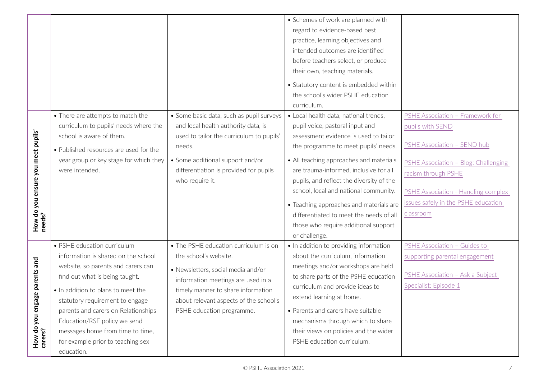|                                              |                                        |                                          | • Schemes of work are planned with       |                                      |
|----------------------------------------------|----------------------------------------|------------------------------------------|------------------------------------------|--------------------------------------|
|                                              |                                        |                                          | regard to evidence-based best            |                                      |
|                                              |                                        |                                          | practice, learning objectives and        |                                      |
|                                              |                                        |                                          | intended outcomes are identified         |                                      |
|                                              |                                        |                                          | before teachers select, or produce       |                                      |
|                                              |                                        |                                          | their own, teaching materials.           |                                      |
|                                              |                                        |                                          |                                          |                                      |
|                                              |                                        |                                          | • Statutory content is embedded within   |                                      |
|                                              |                                        |                                          | the school's wider PSHE education        |                                      |
|                                              |                                        |                                          | curriculum.                              |                                      |
|                                              | • There are attempts to match the      | • Some basic data, such as pupil surveys | • Local health data, national trends,    | PSHE Association - Framework for     |
|                                              | curriculum to pupils' needs where the  | and local health authority data, is      | pupil voice, pastoral input and          | pupils with SEND                     |
|                                              | school is aware of them.               | used to tailor the curriculum to pupils' | assessment evidence is used to tailor    |                                      |
| How do you ensure you meet pupils'<br>needs? | • Published resources are used for the | needs.                                   | the programme to meet pupils' needs.     | PSHE Association - SEND hub          |
|                                              | year group or key stage for which they | • Some additional support and/or         | • All teaching approaches and materials  |                                      |
|                                              | were intended.                         | differentiation is provided for pupils   | are trauma-informed, inclusive for all   | PSHE Association - Blog: Challenging |
|                                              |                                        | who require it.                          | pupils, and reflect the diversity of the | racism through PSHE                  |
|                                              |                                        |                                          | school, local and national community.    | PSHE Association - Handling complex  |
|                                              |                                        |                                          |                                          |                                      |
|                                              |                                        |                                          | • Teaching approaches and materials are  | issues safely in the PSHE education  |
|                                              |                                        |                                          | differentiated to meet the needs of all  | classroom                            |
|                                              |                                        |                                          | those who require additional support     |                                      |
|                                              |                                        |                                          | or challenge.                            |                                      |
|                                              | • PSHE education curriculum            | • The PSHE education curriculum is on    | • In addition to providing information   | PSHE Association - Guides to         |
|                                              | information is shared on the school    | the school's website.                    | about the curriculum, information        | supporting parental engagement       |
|                                              | website, so parents and carers can     | · Newsletters, social media and/or       | meetings and/or workshops are held       |                                      |
|                                              | find out what is being taught.         | information meetings are used in a       | to share parts of the PSHE education     | PSHE Association - Ask a Subject     |
|                                              | . In addition to plans to meet the     | timely manner to share information       | curriculum and provide ideas to          | Specialist: Episode 1                |
|                                              | statutory requirement to engage        | about relevant aspects of the school's   | extend learning at home.                 |                                      |
|                                              | parents and carers on Relationships    | PSHE education programme.                | • Parents and carers have suitable       |                                      |
|                                              | Education/RSE policy we send           |                                          | mechanisms through which to share        |                                      |
| How do you engage parents and<br>carers?     | messages home from time to time,       |                                          | their views on policies and the wider    |                                      |
|                                              |                                        |                                          | PSHE education curriculum.               |                                      |
|                                              | for example prior to teaching sex      |                                          |                                          |                                      |
|                                              | education.                             |                                          |                                          |                                      |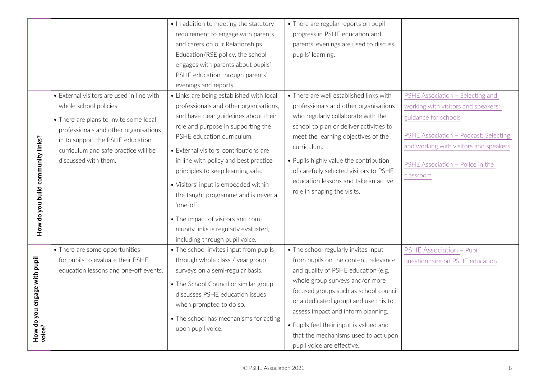|                                   |                                           | . In addition to meeting the statutory                                      | • There are regular reports on pupil    |                                        |
|-----------------------------------|-------------------------------------------|-----------------------------------------------------------------------------|-----------------------------------------|----------------------------------------|
|                                   |                                           | requirement to engage with parents                                          | progress in PSHE education and          |                                        |
|                                   |                                           | and carers on our Relationships                                             | parents' evenings are used to discuss   |                                        |
|                                   |                                           | Education/RSE policy, the school                                            | pupils' learning.                       |                                        |
|                                   |                                           | engages with parents about pupils'                                          |                                         |                                        |
|                                   |                                           | PSHE education through parents'                                             |                                         |                                        |
|                                   |                                           | evenings and reports.                                                       |                                         |                                        |
|                                   | • External visitors are used in line with | • Links are being established with local                                    | • There are well established links with | PSHE Association - Selecting and       |
|                                   | whole school policies.                    | professionals and other organisations,                                      | professionals and other organisations   | working with visitors and speakers:    |
|                                   | • There are plans to invite some local    | and have clear guidelines about their                                       | who regularly collaborate with the      | guidance for schools                   |
|                                   | professionals and other organisations     | role and purpose in supporting the                                          | school to plan or deliver activities to |                                        |
|                                   | in to support the PSHE education          | PSHE education curriculum.                                                  | meet the learning objectives of the     | PSHE Association - Podcast: Selecting  |
| How do you build community links? | curriculum and safe practice will be      | · External visitors' contributions are                                      | curriculum.                             | and working with visitors and speakers |
|                                   | discussed with them.                      | in line with policy and best practice                                       | • Pupils highly value the contribution  |                                        |
|                                   |                                           | principles to keep learning safe.                                           | of carefully selected visitors to PSHE  | PSHE Association - Police in the       |
|                                   |                                           |                                                                             | education lessons and take an active    | classroom                              |
|                                   |                                           | · Visitors' input is embedded within<br>the taught programme and is never a | role in shaping the visits.             |                                        |
|                                   |                                           | 'one-off'.                                                                  |                                         |                                        |
|                                   |                                           |                                                                             |                                         |                                        |
|                                   |                                           | • The impact of visitors and com-                                           |                                         |                                        |
|                                   |                                           | munity links is regularly evaluated,                                        |                                         |                                        |
|                                   |                                           | including through pupil voice.                                              |                                         |                                        |
|                                   | • There are some opportunities            | • The school invites input from pupils                                      | • The school regularly invites input    | <b>PSHE Association - Pupil</b>        |
|                                   | for pupils to evaluate their PSHE         | through whole class / year group                                            | from pupils on the content, relevance   | questionnaire on PSHE education        |
|                                   | education lessons and one-off events.     | surveys on a semi-regular basis.                                            | and quality of PSHE education (e.g.     |                                        |
|                                   |                                           | • The School Council or similar group                                       | whole group surveys and/or more         |                                        |
|                                   |                                           | discusses PSHE education issues                                             | focused groups such as school council   |                                        |
|                                   |                                           | when prompted to do so.                                                     | or a dedicated group) and use this to   |                                        |
|                                   |                                           | • The school has mechanisms for acting                                      | assess impact and inform planning.      |                                        |
| How do you engage with pupil      |                                           | upon pupil voice.                                                           | • Pupils feel their input is valued and |                                        |
| voice?                            |                                           |                                                                             | that the mechanisms used to act upon    |                                        |
|                                   |                                           |                                                                             | pupil voice are effective.              |                                        |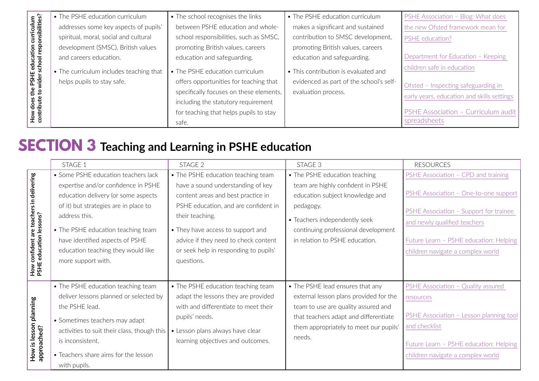<span id="page-8-0"></span>

|                                     | • The PSHE education curriculum         | • The school recognises the links       | • The PSHE education curriculum         | <b>PSHE Association - Blog: What does</b>  |
|-------------------------------------|-----------------------------------------|-----------------------------------------|-----------------------------------------|--------------------------------------------|
| curriculum<br>onsibilities?         | addresses some key aspects of pupils'   | between PSHE education and whole-       | makes a significant and sustained       | the new Ofsted framework mean for          |
|                                     | spiritual, moral, social and cultural   | school responsibilities, such as SMSC,  | contribution to SMSC development,       | <b>PSHE</b> education?                     |
|                                     | development (SMSC), British values      | promoting British values, careers       | promoting British values, careers       |                                            |
|                                     | and careers education.                  | education and safeguarding.             | education and safeguarding.             | Department for Education - Keeping         |
| PSHE education<br>vider school resp | • The curriculum includes teaching that | • The PSHE education curriculum         | • This contribution is evaluated and    | children safe in education                 |
|                                     | helps pupils to stay safe.              | offers opportunities for teaching that  | evidenced as part of the school's self- | Ofsted - Inspecting safeguarding in        |
| 요 중                                 |                                         | specifically focuses on these elements, | evaluation process.                     | early years, education and skills settings |
| does<br>ribute                      |                                         | including the statutory requirement     |                                         |                                            |
| H <sub>ort</sub>                    |                                         | for teaching that helps pupils to stay  |                                         | PSHE Association - Curriculum audit        |
|                                     |                                         | safe.                                   |                                         | spreadsheets                               |

# **SECTION 3 Teaching and Learning in PSHE education**

|                                  | STAGE 1                                     | STAGE 2                               | STAGE 3                                | <b>RESOURCES</b>                                                       |
|----------------------------------|---------------------------------------------|---------------------------------------|----------------------------------------|------------------------------------------------------------------------|
|                                  | • Some PSHE education teachers lack         | • The PSHE education teaching team    | • The PSHE education teaching          | PSHE Association - CPD and training                                    |
|                                  | expertise and/or confidence in PSHE         | have a sound understanding of key     | team are highly confident in PSHE      |                                                                        |
|                                  | education delivery (or some aspects         | content areas and best practice in    | education subject knowledge and        | PSHE Association - One-to-one support                                  |
|                                  | of it) but strategies are in place to       | PSHE education, and are confident in  | pedagogy.                              |                                                                        |
| teachers in delivering<br>ssons? | address this.                               | their teaching.                       | • Teachers independently seek          | PSHE Association - Support for trainee<br>and newly qualified teachers |
|                                  | • The PSHE education teaching team          | • They have access to support and     | continuing professional development    |                                                                        |
| confident are<br>education le    | have identified aspects of PSHE             | advice if they need to check content  | in relation to PSHE education.         | Future Learn - PSHE education: Helping                                 |
|                                  | education teaching they would like          | or seek help in responding to pupils' |                                        | children navigate a complex world                                      |
|                                  | more support with.                          | questions.                            |                                        |                                                                        |
| How c<br>PSHE                    |                                             |                                       |                                        |                                                                        |
|                                  | • The PSHE education teaching team          | • The PSHE education teaching team    | • The PSHE lead ensures that any       | PSHE Association - Quality assured                                     |
|                                  | deliver lessons planned or selected by      | adapt the lessons they are provided   | external lesson plans provided for the | resources                                                              |
|                                  | the PSHE lead.                              | with and differentiate to meet their  | team to use are quality assured and    |                                                                        |
|                                  | • Sometimes teachers may adapt              | pupils' needs.                        | that teachers adapt and differentiate  | PSHE Association - Lesson planning tool                                |
| lesson planning                  | activities to suit their class, though this | • Lesson plans always have clear      | them appropriately to meet our pupils' | and checklist                                                          |
| $\overline{\mathbf{a}}$ .        | is inconsistent.                            | learning objectives and outcomes.     | needs.                                 | Future Learn - PSHE education: Helping                                 |
| approached?<br>How               | • Teachers share aims for the lesson        |                                       |                                        | children navigate a complex world                                      |
|                                  | with pupils.                                |                                       |                                        |                                                                        |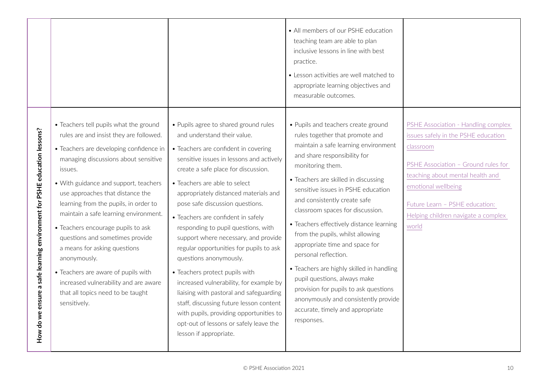|                                                                               |                                                                                                                                                                                                                                                                                                                                                                                                                                                                                                                                                                                                              |                                                                                                                                                                                                                                                                                                                                                                                                                                                                                                                                                                                                                                                                                                                                                                                          | • All members of our PSHE education<br>teaching team are able to plan<br>inclusive lessons in line with best<br>practice.<br>• Lesson activities are well matched to<br>appropriate learning objectives and<br>measurable outcomes.                                                                                                                                                                                                                                                                                                                                                                                                                                            |                                                                                                                                                                                                                                                                             |
|-------------------------------------------------------------------------------|--------------------------------------------------------------------------------------------------------------------------------------------------------------------------------------------------------------------------------------------------------------------------------------------------------------------------------------------------------------------------------------------------------------------------------------------------------------------------------------------------------------------------------------------------------------------------------------------------------------|------------------------------------------------------------------------------------------------------------------------------------------------------------------------------------------------------------------------------------------------------------------------------------------------------------------------------------------------------------------------------------------------------------------------------------------------------------------------------------------------------------------------------------------------------------------------------------------------------------------------------------------------------------------------------------------------------------------------------------------------------------------------------------------|--------------------------------------------------------------------------------------------------------------------------------------------------------------------------------------------------------------------------------------------------------------------------------------------------------------------------------------------------------------------------------------------------------------------------------------------------------------------------------------------------------------------------------------------------------------------------------------------------------------------------------------------------------------------------------|-----------------------------------------------------------------------------------------------------------------------------------------------------------------------------------------------------------------------------------------------------------------------------|
| nsure a safe learning environment for PSHE education lessons?<br>How do we er | • Teachers tell pupils what the ground<br>rules are and insist they are followed.<br>• Teachers are developing confidence in<br>managing discussions about sensitive<br>issues.<br>• With guidance and support, teachers<br>use approaches that distance the<br>learning from the pupils, in order to<br>maintain a safe learning environment.<br>• Teachers encourage pupils to ask<br>questions and sometimes provide<br>a means for asking questions<br>anonymously.<br>• Teachers are aware of pupils with<br>increased vulnerability and are aware<br>that all topics need to be taught<br>sensitively. | • Pupils agree to shared ground rules<br>and understand their value.<br>• Teachers are confident in covering<br>sensitive issues in lessons and actively<br>create a safe place for discussion.<br>• Teachers are able to select<br>appropriately distanced materials and<br>pose safe discussion questions.<br>• Teachers are confident in safely<br>responding to pupil questions, with<br>support where necessary, and provide<br>regular opportunities for pupils to ask<br>questions anonymously.<br>• Teachers protect pupils with<br>increased vulnerability, for example by<br>liaising with pastoral and safeguarding<br>staff, discussing future lesson content<br>with pupils, providing opportunities to<br>opt-out of lessons or safely leave the<br>lesson if appropriate. | • Pupils and teachers create ground<br>rules together that promote and<br>maintain a safe learning environment<br>and share responsibility for<br>monitoring them.<br>• Teachers are skilled in discussing<br>sensitive issues in PSHE education<br>and consistently create safe<br>classroom spaces for discussion.<br>• Teachers effectively distance learning<br>from the pupils, whilst allowing<br>appropriate time and space for<br>personal reflection.<br>• Teachers are highly skilled in handling<br>pupil questions, always make<br>provision for pupils to ask questions<br>anonymously and consistently provide<br>accurate, timely and appropriate<br>responses. | PSHE Association - Handling complex<br>issues safely in the PSHE education<br>classroom<br>PSHE Association - Ground rules for<br>teaching about mental health and<br>emotional wellbeing<br>Future Learn - PSHE education:<br>Helping children navigate a complex<br>world |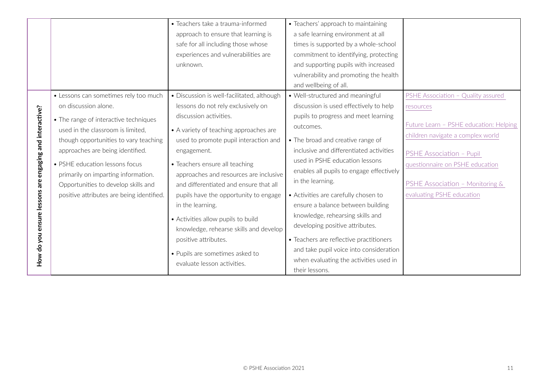|                               |                                           | • Teachers take a trauma-informed                                                | • Teachers' approach to maintaining      |                                        |
|-------------------------------|-------------------------------------------|----------------------------------------------------------------------------------|------------------------------------------|----------------------------------------|
|                               |                                           | approach to ensure that learning is                                              | a safe learning environment at all       |                                        |
|                               |                                           | safe for all including those whose                                               | times is supported by a whole-school     |                                        |
|                               |                                           | experiences and vulnerabilities are                                              | commitment to identifying, protecting    |                                        |
|                               |                                           | unknown.                                                                         | and supporting pupils with increased     |                                        |
|                               |                                           |                                                                                  | vulnerability and promoting the health   |                                        |
|                               |                                           |                                                                                  | and wellbeing of all.                    |                                        |
|                               | • Lessons can sometimes rely too much     | • Discussion is well-facilitated, although                                       | • Well-structured and meaningful         | PSHE Association - Quality assured     |
|                               | on discussion alone.                      | lessons do not rely exclusively on                                               | discussion is used effectively to help   | resources                              |
|                               | • The range of interactive techniques     | discussion activities.                                                           | pupils to progress and meet learning     |                                        |
|                               | used in the classroom is limited,         | • A variety of teaching approaches are                                           | outcomes.                                | Future Learn - PSHE education: Helping |
| engaging and interactive?     | though opportunities to vary teaching     | used to promote pupil interaction and                                            | • The broad and creative range of        | children navigate a complex world      |
|                               | approaches are being identified.          | engagement.                                                                      | inclusive and differentiated activities  |                                        |
|                               |                                           |                                                                                  | used in PSHE education lessons           | PSHE Association - Pupil               |
|                               | • PSHE education lessons focus            | • Teachers ensure all teaching                                                   | enables all pupils to engage effectively | questionnaire on PSHE education        |
|                               | primarily on imparting information.       | approaches and resources are inclusive<br>and differentiated and ensure that all | in the learning.                         | PSHE Association - Monitoring &        |
|                               | Opportunities to develop skills and       |                                                                                  |                                          | evaluating PSHE education              |
|                               | positive attributes are being identified. | pupils have the opportunity to engage                                            | • Activities are carefully chosen to     |                                        |
|                               |                                           | in the learning.                                                                 | ensure a balance between building        |                                        |
|                               |                                           | • Activities allow pupils to build                                               | knowledge, rehearsing skills and         |                                        |
|                               |                                           | knowledge, rehearse skills and develop                                           | developing positive attributes.          |                                        |
|                               |                                           | positive attributes.                                                             | • Teachers are reflective practitioners  |                                        |
|                               |                                           | • Pupils are sometimes asked to                                                  | and take pupil voice into consideration  |                                        |
| How do you ensure lessons are |                                           | evaluate lesson activities.                                                      | when evaluating the activities used in   |                                        |
|                               |                                           |                                                                                  | their lessons.                           |                                        |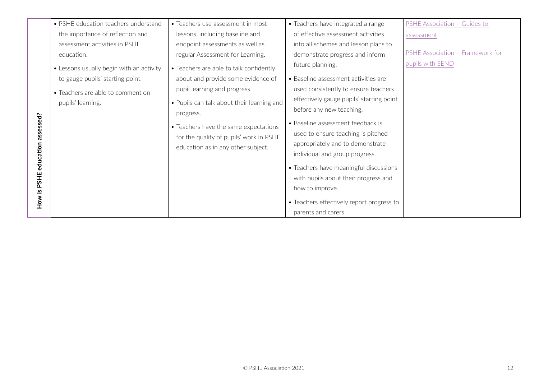|                     | • PSHE education teachers understand     | • Teachers use assessment in most                                                                                      | • Teachers have integrated a range                                                                                                            | PSHE Association - Guides to     |
|---------------------|------------------------------------------|------------------------------------------------------------------------------------------------------------------------|-----------------------------------------------------------------------------------------------------------------------------------------------|----------------------------------|
|                     | the importance of reflection and         | lessons, including baseline and                                                                                        | of effective assessment activities                                                                                                            | assessment                       |
|                     | assessment activities in PSHE            | endpoint assessments as well as                                                                                        | into all schemes and lesson plans to                                                                                                          |                                  |
|                     | education.                               | regular Assessment for Learning.                                                                                       | demonstrate progress and inform                                                                                                               | PSHE Association - Framework for |
|                     | • Lessons usually begin with an activity | • Teachers are able to talk confidently                                                                                | future planning.                                                                                                                              | pupils with SEND                 |
|                     | to gauge pupils' starting point.         | about and provide some evidence of                                                                                     | • Baseline assessment activities are                                                                                                          |                                  |
|                     | • Teachers are able to comment on        | pupil learning and progress.                                                                                           | used consistently to ensure teachers                                                                                                          |                                  |
|                     | pupils' learning.                        | • Pupils can talk about their learning and                                                                             | effectively gauge pupils' starting point                                                                                                      |                                  |
|                     |                                          | progress.                                                                                                              | before any new teaching.                                                                                                                      |                                  |
| education assessed? |                                          | • Teachers have the same expectations<br>for the quality of pupils' work in PSHE<br>education as in any other subject. | • Baseline assessment feedback is<br>used to ensure teaching is pitched<br>appropriately and to demonstrate<br>individual and group progress. |                                  |
|                     |                                          |                                                                                                                        | • Teachers have meaningful discussions                                                                                                        |                                  |
| PSHE                |                                          |                                                                                                                        | with pupils about their progress and                                                                                                          |                                  |
|                     |                                          |                                                                                                                        | how to improve.                                                                                                                               |                                  |
| How is              |                                          |                                                                                                                        | • Teachers effectively report progress to                                                                                                     |                                  |
|                     |                                          |                                                                                                                        | parents and carers.                                                                                                                           |                                  |